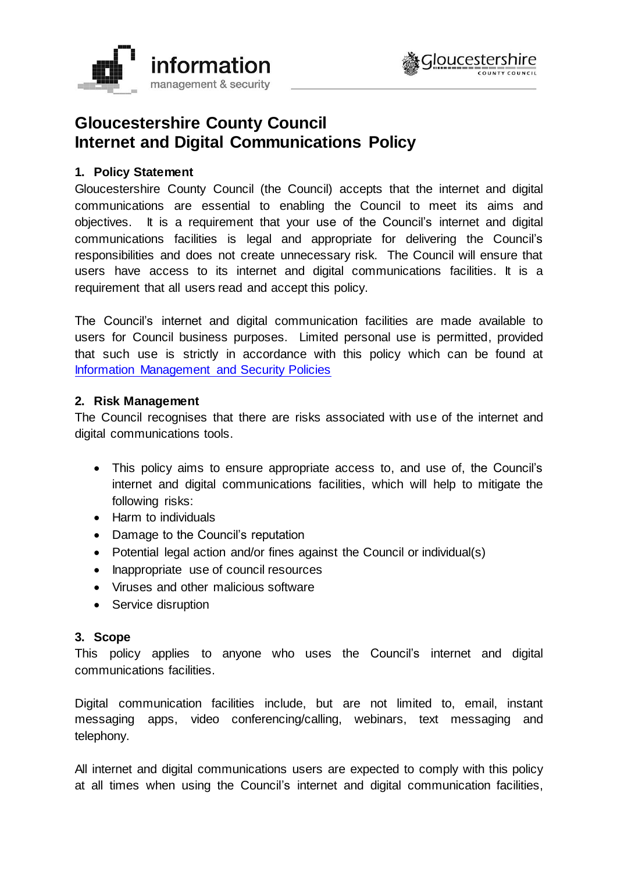



# **Gloucestershire County Council Internet and Digital Communications Policy**

## **1. Policy Statement**

Gloucestershire County Council (the Council) accepts that the internet and digital communications are essential to enabling the Council to meet its aims and objectives. It is a requirement that your use of the Council's internet and digital communications facilities is legal and appropriate for delivering the Council's responsibilities and does not create unnecessary risk. The Council will ensure that users have access to its internet and digital communications facilities. It is a requirement that all users read and accept this policy.

The Council's internet and digital communication facilities are made available to users for Council business purposes. Limited personal use is permitted, provided that such use is strictly in accordance with this policy which can be found at [Information Management and Security Policies](http://www.gloucestershire.gov.uk/council-and-democracy/strategies-plans-policies/information-management-and-security-policies/)

## **2. Risk Management**

The Council recognises that there are risks associated with use of the internet and digital communications tools.

- This policy aims to ensure appropriate access to, and use of, the Council's internet and digital communications facilities, which will help to mitigate the following risks:
- Harm to individuals
- Damage to the Council's reputation
- Potential legal action and/or fines against the Council or individual(s)
- Inappropriate use of council resources
- Viruses and other malicious software
- Service disruption

## **3. Scope**

This policy applies to anyone who uses the Council's internet and digital communications facilities.

Digital communication facilities include, but are not limited to, email, instant messaging apps, video conferencing/calling, webinars, text messaging and telephony.

All internet and digital communications users are expected to comply with this policy at all times when using the Council's internet and digital communication facilities,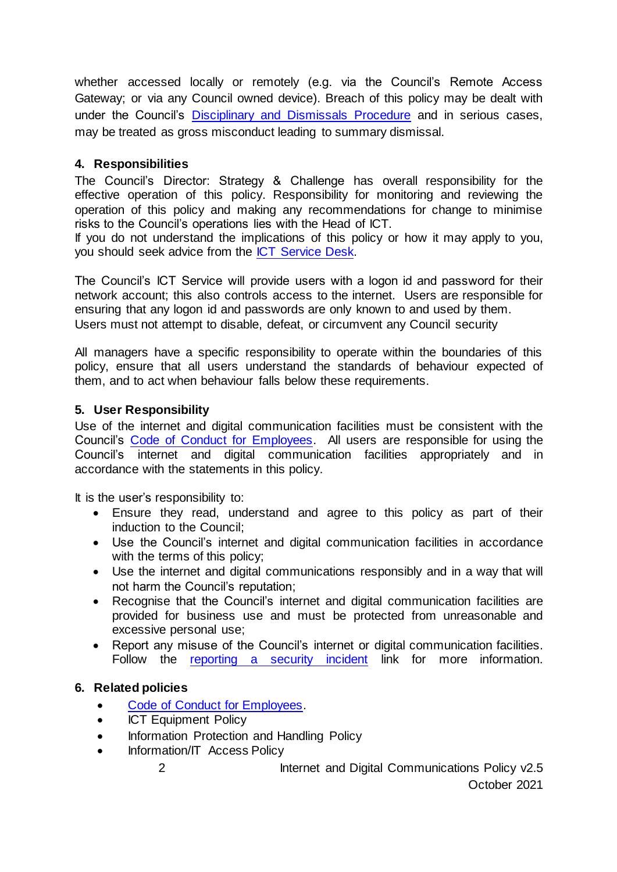whether accessed locally or remotely (e.g. via the Council's Remote Access Gateway; or via any Council owned device). Breach of this policy may be dealt with under the Council's [Disciplinary and Dismissals Procedure](https://staffnet.gloucestershire.gov.uk/employee-information-and-support/hr-and-employment-handbook/disciplinary-and-dismissals/) and in serious cases, may be treated as gross misconduct leading to summary dismissal.

# **4. Responsibilities**

The Council's Director: Strategy & Challenge has overall responsibility for the effective operation of this policy. Responsibility for monitoring and reviewing the operation of this policy and making any recommendations for change to minimise risks to the Council's operations lies with the Head of ICT.

If you do not understand the implications of this policy or how it may apply to you, you should seek advice from the [ICT Service Desk.](https://staffnet.gloucestershire.gov.uk/internal-services/the-ict-service/other-ict-services/ict-service-status/)

The Council's ICT Service will provide users with a logon id and password for their network account; this also controls access to the internet. Users are responsible for ensuring that any logon id and passwords are only known to and used by them. Users must not attempt to disable, defeat, or circumvent any Council security

All managers have a specific responsibility to operate within the boundaries of this policy, ensure that all users understand the standards of behaviour expected of them, and to act when behaviour falls below these requirements.

# **5. User Responsibility**

Use of the internet and digital communication facilities must be consistent with the Council's [Code of Conduct for Employees.](https://staffnet.gloucestershire.gov.uk/employee-information-and-support/code-of-conduct-for-employees/) All users are responsible for using the Council's internet and digital communication facilities appropriately and in accordance with the statements in this policy.

It is the user's responsibility to:

- Ensure they read, understand and agree to this policy as part of their induction to the Council;
- Use the Council's internet and digital communication facilities in accordance with the terms of this policy;
- Use the internet and digital communications responsibly and in a way that will not harm the Council's reputation;
- Recognise that the Council's internet and digital communication facilities are provided for business use and must be protected from unreasonable and excessive personal use;
- Report any misuse of the Council's internet or digital communication facilities. Follow the [reporting a security incident](https://staffnet.gloucestershire.gov.uk/internal-services/information-management-service/information-security-incidents/) link for more information.

# **6. Related policies**

- Code of Conduct for Employees.
- ICT Equipment Policy
- Information Protection and Handling Policy
- Information/IT Access Policy
	- 2 Internet and Digital Communications Policy v2.5 October 2021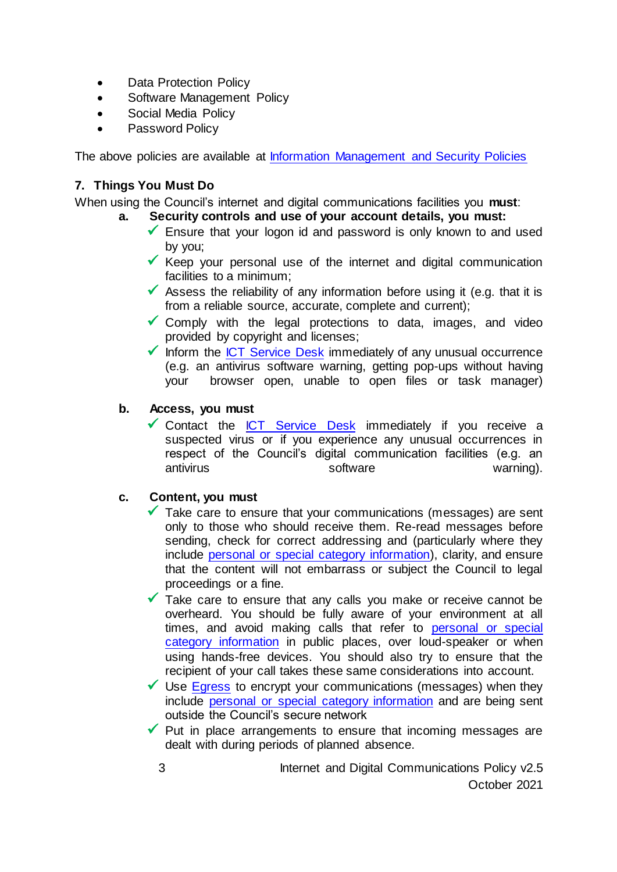- Data Protection Policy
- Software Management Policy
- Social Media Policy
- Password Policy

The above policies are available at [Information Management and Security Policies](http://www.gloucestershire.gov.uk/council-and-democracy/strategies-plans-policies/information-management-and-security-policies/)

## **7. Things You Must Do**

When using the Council's internet and digital communications facilities you **must**:

- **a. Security controls and use of your account details, you must:**
	- $\checkmark$  Ensure that your logon id and password is only known to and used by you;
	- $\checkmark$  Keep your personal use of the internet and digital communication facilities to a minimum;
	- ✓ Assess the reliability of any information before using it (e.g. that it is from a reliable source, accurate, complete and current);
	- $\checkmark$  Comply with the legal protections to data, images, and video provided by copyright and licenses;
	- $\checkmark$  Inform the [ICT Service Desk](https://staffnet.gloucestershire.gov.uk/internal-services/the-ict-service/other-ict-services/contact-the-ict-service/) immediately of any unusual occurrence (e.g. an antivirus software warning, getting pop-ups without having your browser open, unable to open files or task manager)

## **b. Access, you must**

 $\checkmark$  Contact the [ICT Service Desk](https://staffnet.gloucestershire.gov.uk/internal-services/the-ict-service/other-ict-services/contact-the-ict-service/) immediately if you receive a suspected virus or if you experience any unusual occurrences in respect of the Council's digital communication facilities (e.g. an antivirus software warning).

## **c. Content, you must**

- $\checkmark$  Take care to ensure that your communications (messages) are sent only to those who should receive them. Re-read messages before sending, check for correct addressing and (particularly where they include [personal or special category information\)](https://staffnet.gloucestershire.gov.uk/internal-services/information-management-service/standards-for-handling-personal-andor-sensitive-information/), clarity, and ensure that the content will not embarrass or subject the Council to legal proceedings or a fine.
- ✓ Take care to ensure that any calls you make or receive cannot be overheard. You should be fully aware of your environment at all times, and avoid making calls that refer to personal or special [category information](https://staffnet.gloucestershire.gov.uk/internal-services/information-management-service/standards-for-handling-personal-andor-sensitive-information/) in public places, over loud-speaker or when using hands-free devices. You should also try to ensure that the recipient of your call takes these same considerations into account.
- $\checkmark$  Use [Egress](https://staffnet.gloucestershire.gov.uk/internal-services/information-management-service/secure-email-egress-switch/) to encrypt your communications (messages) when they include [personal or special category information](https://staffnet.gloucestershire.gov.uk/internal-services/information-management-service/standards-for-handling-personal-andor-sensitive-information/) and are being sent outside the Council's secure network
- $\checkmark$  Put in place arrangements to ensure that incoming messages are dealt with during periods of planned absence.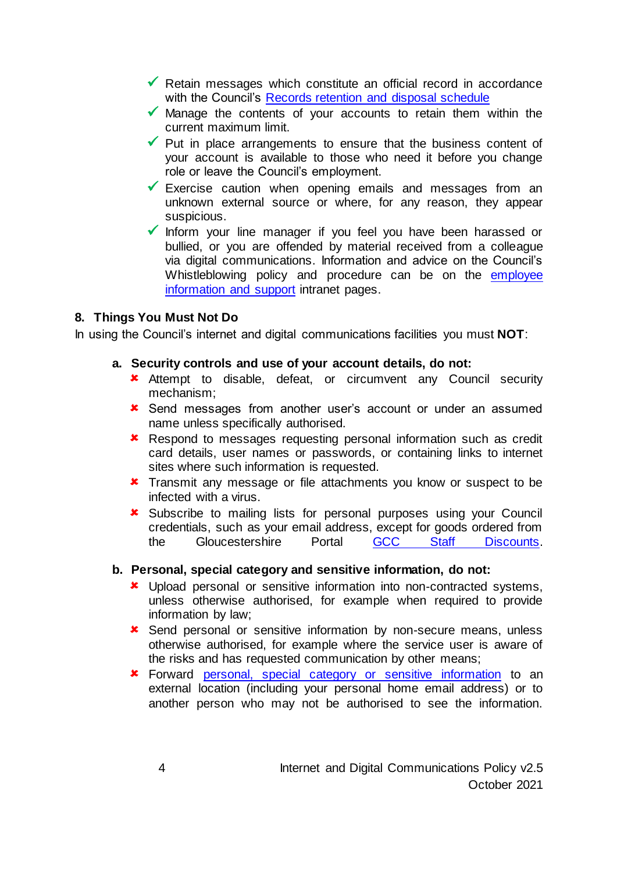- $\checkmark$  Retain messages which constitute an official record in accordance with the Council's [Records retention and disposal schedule](https://staffnet.gloucestershire.gov.uk/media/223019/retention-schedule.pdf)
- $\checkmark$  Manage the contents of your accounts to retain them within the current maximum limit.
- $\checkmark$  Put in place arrangements to ensure that the business content of your account is available to those who need it before you change role or leave the Council's employment.
- $\checkmark$  Exercise caution when opening emails and messages from an unknown external source or where, for any reason, they appear suspicious.
- ✓ Inform your line manager if you feel you have been harassed or bullied, or you are offended by material received from a colleague via digital communications. Information and advice on the Council's Whistleblowing policy and procedure can be on the employee [information and support](https://staffnet.gloucestershire.gov.uk/employee-information-and-support/speak-up-if-its-not-right/) intranet pages.

## **8. Things You Must Not Do**

In using the Council's internet and digital communications facilities you must **NOT**:

#### **a. Security controls and use of your account details, do not:**

- **\*** Attempt to disable, defeat, or circumvent any Council security mechanism;
- Send messages from another user's account or under an assumed name unless specifically authorised.
- **\*** Respond to messages requesting personal information such as credit card details, user names or passwords, or containing links to internet sites where such information is requested.
- **\*** Transmit any message or file attachments you know or suspect to be infected with a virus.
- **x** Subscribe to mailing lists for personal purposes using your Council credentials, such as your email address, except for goods ordered from the Gloucestershire Portal [GCC Staff Discounts.](https://staffnet.gloucestershire.gov.uk/employee-information-and-support/hr-and-employment-handbook/employee-benefits/staff-discounts/)

## **b. Personal, special category and sensitive information, do not:**

- Upload personal or sensitive information into non-contracted systems, unless otherwise authorised, for example when required to provide information by law;
- **x** Send personal or sensitive information by non-secure means, unless otherwise authorised, for example where the service user is aware of the risks and has requested communication by other means;
- Forward [personal, special category or sensitive information](https://staffnet.gloucestershire.gov.uk/internal-services/information-management-service/standards-for-handling-personal-andor-sensitive-information/) to an external location (including your personal home email address) or to another person who may not be authorised to see the information.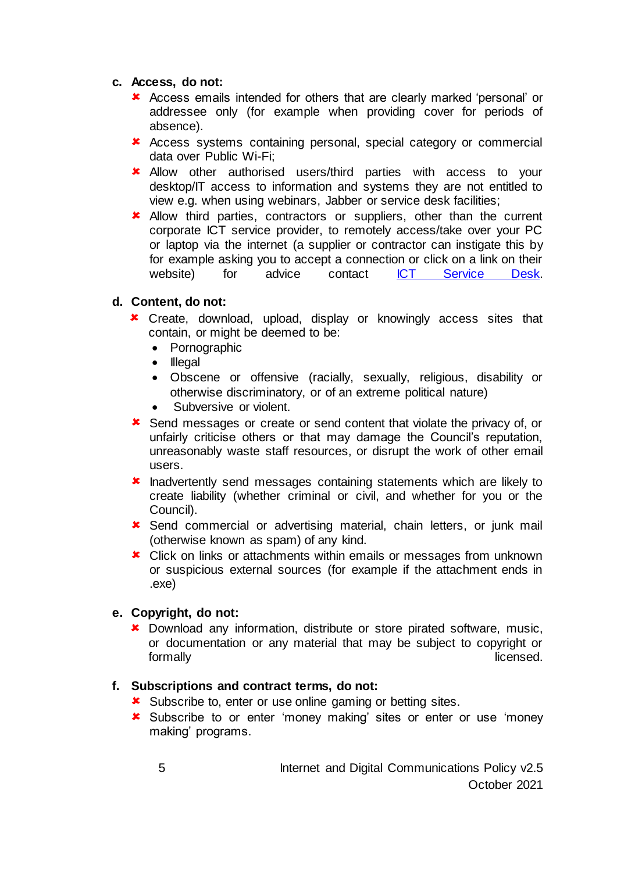## **c. Access, do not:**

- Access emails intended for others that are clearly marked 'personal' or addressee only (for example when providing cover for periods of absence).
- Access systems containing personal, special category or commercial data over Public Wi-Fi;
- **\*** Allow other authorised users/third parties with access to your desktop/IT access to information and systems they are not entitled to view e.g. when using webinars, Jabber or service desk facilities;
- **\*** Allow third parties, contractors or suppliers, other than the current corporate ICT service provider, to remotely access/take over your PC or laptop via the internet (a supplier or contractor can instigate this by for example asking you to accept a connection or click on a link on their website) for advice contact [ICT Service Desk.](https://staffnet.gloucestershire.gov.uk/internal-services/the-ict-service/other-ict-services/contact-the-ict-service/)

## **d. Content, do not:**

- Create, download, upload, display or knowingly access sites that contain, or might be deemed to be:
	- Pornographic
	- Illegal
	- Obscene or offensive (racially, sexually, religious, disability or otherwise discriminatory, or of an extreme political nature)
	- Subversive or violent.
- Send messages or create or send content that violate the privacy of, or unfairly criticise others or that may damage the Council's reputation, unreasonably waste staff resources, or disrupt the work of other email users.
- **\*** Inadvertently send messages containing statements which are likely to create liability (whether criminal or civil, and whether for you or the Council).
- Send commercial or advertising material, chain letters, or junk mail (otherwise known as spam) of any kind.
- **\*** Click on links or attachments within emails or messages from unknown or suspicious external sources (for example if the attachment ends in .exe)

# **e. Copyright, do not:**

 Download any information, distribute or store pirated software, music, or documentation or any material that may be subject to copyright or formally licensed.

# **f. Subscriptions and contract terms, do not:**

- **x** Subscribe to, enter or use online gaming or betting sites.
- Subscribe to or enter 'money making' sites or enter or use 'money making' programs.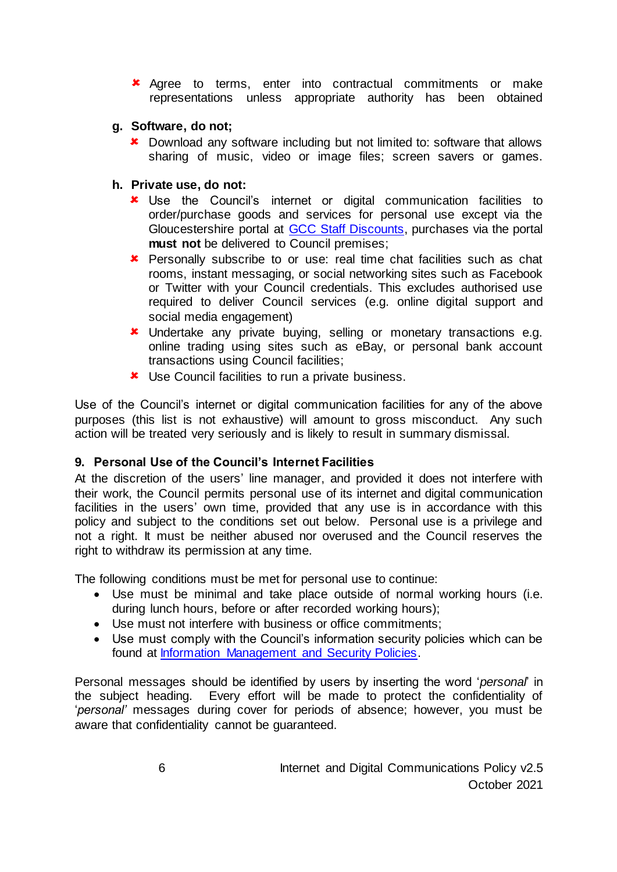**\*** Agree to terms, enter into contractual commitments or make representations unless appropriate authority has been obtained

## **g. Software, do not;**

- **\*** Download any software including but not limited to: software that allows sharing of music, video or image files; screen savers or games.
- **h. Private use, do not:**
	- Use the Council's internet or digital communication facilities to order/purchase goods and services for personal use except via the Gloucestershire portal at [GCC Staff Discounts,](https://staffnet.gloucestershire.gov.uk/employee-information-and-support/hr-and-employment-handbook/employee-benefits/staff-discounts/) purchases via the portal **must not** be delivered to Council premises;
	- **\*** Personally subscribe to or use: real time chat facilities such as chat rooms, instant messaging, or social networking sites such as Facebook or Twitter with your Council credentials. This excludes authorised use required to deliver Council services (e.g. online digital support and social media engagement)
	- **\*** Undertake any private buying, selling or monetary transactions e.g. online trading using sites such as eBay, or personal bank account transactions using Council facilities;
	- **\*** Use Council facilities to run a private business.

Use of the Council's internet or digital communication facilities for any of the above purposes (this list is not exhaustive) will amount to gross misconduct. Any such action will be treated very seriously and is likely to result in summary dismissal.

## **9. Personal Use of the Council's Internet Facilities**

At the discretion of the users' line manager, and provided it does not interfere with their work, the Council permits personal use of its internet and digital communication facilities in the users' own time, provided that any use is in accordance with this policy and subject to the conditions set out below. Personal use is a privilege and not a right. It must be neither abused nor overused and the Council reserves the right to withdraw its permission at any time.

The following conditions must be met for personal use to continue:

- Use must be minimal and take place outside of normal working hours (i.e. during lunch hours, before or after recorded working hours);
- Use must not interfere with business or office commitments;
- Use must comply with the Council's information security policies which can be found at [Information Management and Security Policies.](https://www.gloucestershire.gov.uk/council-and-democracy/strategies-plans-policies/information-management-and-security-policies/)

Personal messages should be identified by users by inserting the word '*personal*' in the subject heading. Every effort will be made to protect the confidentiality of '*personal'* messages during cover for periods of absence; however, you must be aware that confidentiality cannot be guaranteed.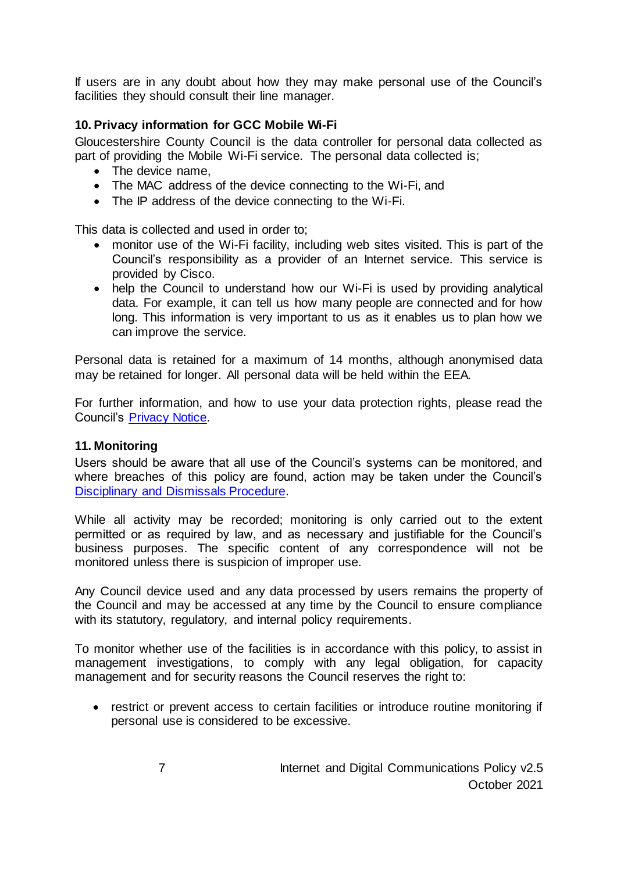If users are in any doubt about how they may make personal use of the Council's facilities they should consult their line manager.

# **10. Privacy information for GCC Mobile Wi-Fi**

Gloucestershire County Council is the data controller for personal data collected as part of providing the Mobile Wi-Fi service. The personal data collected is;

- The device name.
- The MAC address of the device connecting to the Wi-Fi, and
- The IP address of the device connecting to the Wi-Fi.

This data is collected and used in order to;

- monitor use of the Wi-Fi facility, including web sites visited. This is part of the Council's responsibility as a provider of an Internet service. This service is provided by Cisco.
- help the Council to understand how our Wi-Fi is used by providing analytical data. For example, it can tell us how many people are connected and for how long. This information is very important to us as it enables us to plan how we can improve the service.

Personal data is retained for a maximum of 14 months, although anonymised data may be retained for longer. All personal data will be held within the EEA.

For further information, and how to use your data protection rights, please read the Council's [Privacy Notice.](https://www.gloucestershire.gov.uk/council-and-democracy/data-protection/privacy-notices/)

## **11. Monitoring**

Users should be aware that all use of the Council's systems can be monitored, and where breaches of this policy are found, action may be taken under the Council's [Disciplinary and Dismissals Procedure.](https://staffnet.gloucestershire.gov.uk/employee-information-and-support/hr-and-employment-handbook/disciplinary-and-dismissals/)

While all activity may be recorded; monitoring is only carried out to the extent permitted or as required by law, and as necessary and justifiable for the Council's business purposes. The specific content of any correspondence will not be monitored unless there is suspicion of improper use.

Any Council device used and any data processed by users remains the property of the Council and may be accessed at any time by the Council to ensure compliance with its statutory, regulatory, and internal policy requirements.

To monitor whether use of the facilities is in accordance with this policy, to assist in management investigations, to comply with any legal obligation, for capacity management and for security reasons the Council reserves the right to:

• restrict or prevent access to certain facilities or introduce routine monitoring if personal use is considered to be excessive.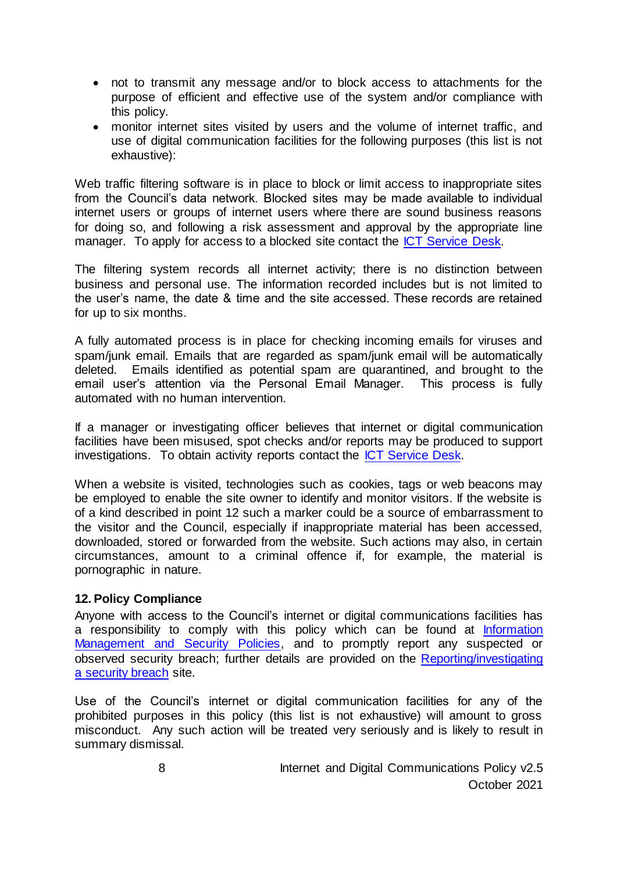- not to transmit any message and/or to block access to attachments for the purpose of efficient and effective use of the system and/or compliance with this policy.
- monitor internet sites visited by users and the volume of internet traffic, and use of digital communication facilities for the following purposes (this list is not exhaustive):

Web traffic filtering software is in place to block or limit access to inappropriate sites from the Council's data network. Blocked sites may be made available to individual internet users or groups of internet users where there are sound business reasons for doing so, and following a risk assessment and approval by the appropriate line manager. To apply for access to a blocked site contact the [ICT Service Desk.](https://staffnet.gloucestershire.gov.uk/internal-services/the-ict-service/other-ict-services/contact-the-ict-service/)

The filtering system records all internet activity; there is no distinction between business and personal use. The information recorded includes but is not limited to the user's name, the date & time and the site accessed. These records are retained for up to six months.

A fully automated process is in place for checking incoming emails for viruses and spam/junk email. Emails that are regarded as spam/junk email will be automatically deleted. Emails identified as potential spam are quarantined, and brought to the email user's attention via the Personal Email Manager. This process is fully automated with no human intervention.

If a manager or investigating officer believes that internet or digital communication facilities have been misused, spot checks and/or reports may be produced to support investigations. To obtain activity reports contact the [ICT Service Desk.](https://staffnet.gloucestershire.gov.uk/internal-services/the-ict-service/other-ict-services/contact-the-ict-service/)

When a website is visited, technologies such as cookies, tags or web beacons may be employed to enable the site owner to identify and monitor visitors. If the website is of a kind described in point 12 such a marker could be a source of embarrassment to the visitor and the Council, especially if inappropriate material has been accessed, downloaded, stored or forwarded from the website. Such actions may also, in certain circumstances, amount to a criminal offence if, for example, the material is pornographic in nature.

## **12. Policy Compliance**

Anyone with access to the Council's internet or digital communications facilities has a responsibility to comply with this policy which can be found at Information [Management and Security Policies,](http://www.gloucestershire.gov.uk/council-and-democracy/strategies-plans-policies/information-management-and-security-policies/) and to promptly report any suspected or observed security breach; further details are provided on th[e Reporting/investigating](https://staffnet.gloucestershire.gov.uk/internal-services/information-management-service/information-security-incidents/)  [a security breach](https://staffnet.gloucestershire.gov.uk/internal-services/information-management-service/information-security-incidents/) site.

Use of the Council's internet or digital communication facilities for any of the prohibited purposes in this policy (this list is not exhaustive) will amount to gross misconduct. Any such action will be treated very seriously and is likely to result in summary dismissal.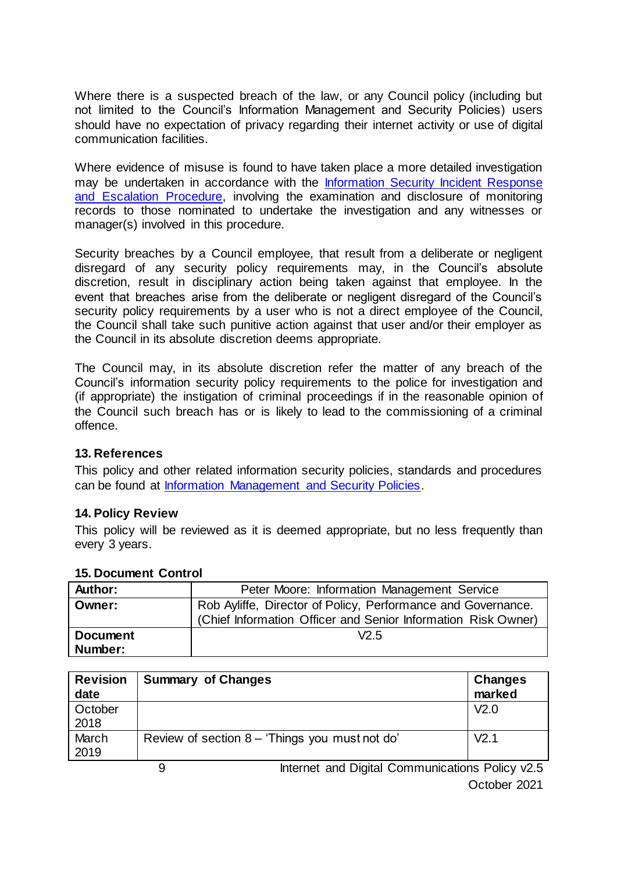Where there is a suspected breach of the law, or any Council policy (including but not limited to the Council's Information Management and Security Policies) users should have no expectation of privacy regarding their internet activity or use of digital communication facilities.

Where evidence of misuse is found to have taken place a more detailed investigation may be undertaken in accordance with the [Information Security Incident Response](https://staffnet.gloucestershire.gov.uk/internal-services/information-management-service/information-security-incidents/)  [and Escalation Procedure,](https://staffnet.gloucestershire.gov.uk/internal-services/information-management-service/information-security-incidents/) involving the examination and disclosure of monitoring records to those nominated to undertake the investigation and any witnesses or manager(s) involved in this procedure.

Security breaches by a Council employee, that result from a deliberate or negligent disregard of any security policy requirements may, in the Council's absolute discretion, result in disciplinary action being taken against that employee. In the event that breaches arise from the deliberate or negligent disregard of the Council's security policy requirements by a user who is not a direct employee of the Council, the Council shall take such punitive action against that user and/or their employer as the Council in its absolute discretion deems appropriate.

The Council may, in its absolute discretion refer the matter of any breach of the Council's information security policy requirements to the police for investigation and (if appropriate) the instigation of criminal proceedings if in the reasonable opinion of the Council such breach has or is likely to lead to the commissioning of a criminal offence.

## **13. References**

This policy and other related information security policies, standards and procedures can be found at [Information Management and Security Policies.](http://www.gloucestershire.gov.uk/council-and-democracy/strategies-plans-policies/information-management-and-security-policies/)

#### **14. Policy Review**

This policy will be reviewed as it is deemed appropriate, but no less frequently than every 3 years.

| <b>Author:</b>  | Peter Moore: Information Management Service                                                                                   |  |
|-----------------|-------------------------------------------------------------------------------------------------------------------------------|--|
| Owner:          | Rob Ayliffe, Director of Policy, Performance and Governance.<br>(Chief Information Officer and Senior Information Risk Owner) |  |
| <b>Document</b> | V2.5                                                                                                                          |  |
| Number:         |                                                                                                                               |  |

#### **15. Document Control**

| <b>Revision</b><br>date | <b>Summary of Changes</b>                       | Changes<br>marked |
|-------------------------|-------------------------------------------------|-------------------|
| October<br>2018         |                                                 | V <sub>2.0</sub>  |
| March<br>2019           | Review of section 8 – 'Things you must not do'  | V <sub>2.1</sub>  |
|                         | Internet and Digital Communications Policy v2.5 |                   |